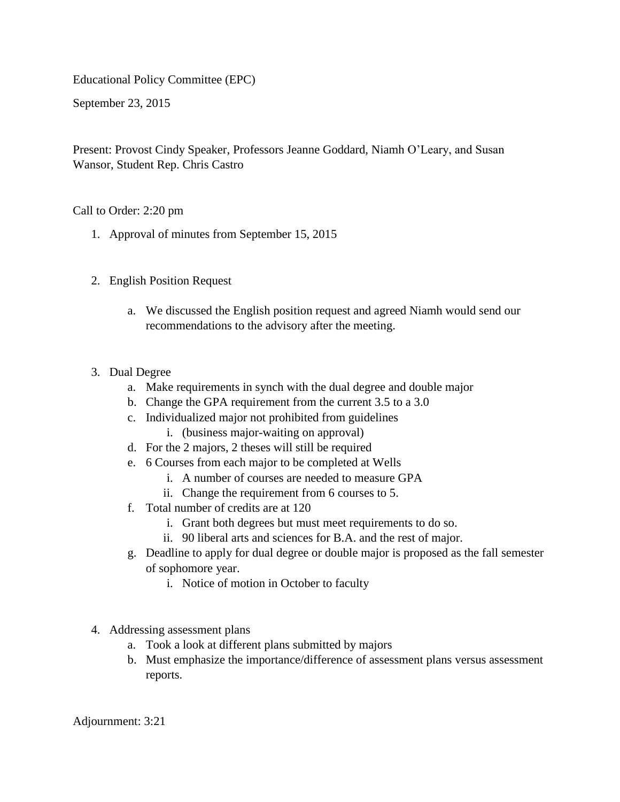Educational Policy Committee (EPC)

September 23, 2015

Present: Provost Cindy Speaker, Professors Jeanne Goddard, Niamh O'Leary, and Susan Wansor, Student Rep. Chris Castro

Call to Order: 2:20 pm

- 1. Approval of minutes from September 15, 2015
- 2. English Position Request
	- a. We discussed the English position request and agreed Niamh would send our recommendations to the advisory after the meeting.
- 3. Dual Degree
	- a. Make requirements in synch with the dual degree and double major
	- b. Change the GPA requirement from the current 3.5 to a 3.0
	- c. Individualized major not prohibited from guidelines
		- i. (business major-waiting on approval)
	- d. For the 2 majors, 2 theses will still be required
	- e. 6 Courses from each major to be completed at Wells
		- i. A number of courses are needed to measure GPA
		- ii. Change the requirement from 6 courses to 5.
	- f. Total number of credits are at 120
		- i. Grant both degrees but must meet requirements to do so.
		- ii. 90 liberal arts and sciences for B.A. and the rest of major.
	- g. Deadline to apply for dual degree or double major is proposed as the fall semester of sophomore year.
		- i. Notice of motion in October to faculty
- 4. Addressing assessment plans
	- a. Took a look at different plans submitted by majors
	- b. Must emphasize the importance/difference of assessment plans versus assessment reports.

Adjournment: 3:21